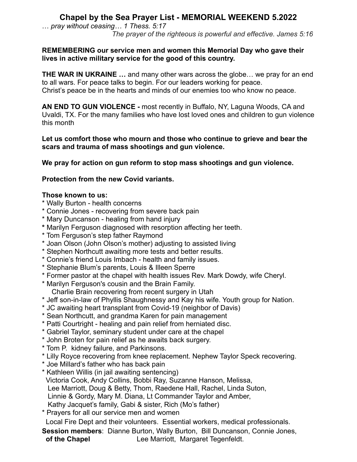# **Chapel by the Sea Prayer List - MEMORIAL WEEKEND 5.2022**

… *pray without ceasing… 1 Thess. 5:17 The prayer of the righteous is powerful and effective. James 5:16*

### **REMEMBERING our service men and women this Memorial Day who gave their lives in active military service for the good of this country.**

**THE WAR IN UKRAINE …** and many other wars across the globe… we pray for an end to all wars. For peace talks to begin. For our leaders working for peace. Christ's peace be in the hearts and minds of our enemies too who know no peace.

**AN END TO GUN VIOLENCE -** most recently in Buffalo, NY, Laguna Woods, CA and Uvaldi, TX. For the many families who have lost loved ones and children to gun violence this month

### **Let us comfort those who mourn and those who continue to grieve and bear the scars and trauma of mass shootings and gun violence.**

**We pray for action on gun reform to stop mass shootings and gun violence.**

# **Protection from the new Covid variants.**

## **Those known to us:**

- \* Wally Burton health concerns
- \* Connie Jones recovering from severe back pain
- \* Mary Duncanson healing from hand injury
- **\*** Marilyn Ferguson diagnosed with resorption affecting her teeth.
- \* Tom Ferguson's step father Raymond
- \* Joan Olson (John Olson's mother) adjusting to assisted living
- \* Stephen Northcutt awaiting more tests and better results.
- \* Connie's friend Louis Imbach health and family issues.
- \* Stephanie Blum's parents, Louis & Illeen Sperre
- \* Former pastor at the chapel with health issues Rev. Mark Dowdy, wife Cheryl.
- \* Marilyn Ferguson's cousin and the Brain Family. Charlie Brain recovering from recent surgery in Utah
- \* Jeff son-in-law of Phyllis Shaughnessy and Kay his wife. Youth group for Nation.
- \* JC awaiting heart transplant from Covid-19 (neighbor of Davis)
- \* Sean Northcutt, and grandma Karen for pain management
- \* Patti Courtright healing and pain relief from herniated disc.
- \* Gabriel Taylor, seminary student under care at the chapel
- \* John Broten for pain relief as he awaits back surgery.
- \* Tom P. kidney failure, and Parkinsons.
- \* Lilly Royce recovering from knee replacement. Nephew Taylor Speck recovering.
- \* Joe Millard's father who has back pain
- \* Kathleen Willis (in jail awaiting sentencing)

Victoria Cook, Andy Collins, Bobbi Ray, Suzanne Hanson, Melissa,

Lee Marriott, Doug & Betty, Thom, Raedene Hall, Rachel, Linda Suton,

Linnie & Gordy, Mary M. Diana, Lt Commander Taylor and Amber,

- Kathy Jacquet's family, Gabi & sister, Rich (Mo's father)
- \* Prayers for all our service men and women

Local Fire Dept and their volunteers. Essential workers, medical professionals.

**Session members**: Dianne Burton, Wally Burton, Bill Duncanson, Connie Jones, **of the Chapel** Lee Marriott, Margaret Tegenfeldt.